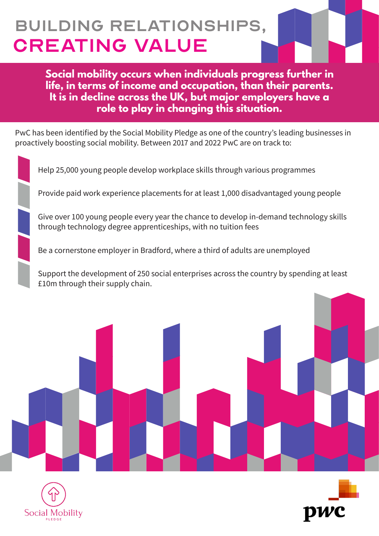## BUILDING RELATIONSHIPS, CREATING VALUE

**Social mobility occurs when individuals progress further in life, in terms of income and occupation, than their parents. It is in decline across the UK, but major employers have a role to play in changing this situation.**

PwC has been identified by the Social Mobility Pledge as one of the country's leading businesses in proactively boosting social mobility. Between 2017 and 2022 PwC are on track to:

Help 25,000 young people develop workplace skills through various programmes Provide paid work experience placements for at least 1,000 disadvantaged young people Give over 100 young people every year the chance to develop in-demand technology skills through technology degree apprenticeships, with no tuition fees Be a cornerstone employer in Bradford, where a third of adults are unemployed Support the development of 250 social enterprises across the country by spending at least £10m through their supply chain.